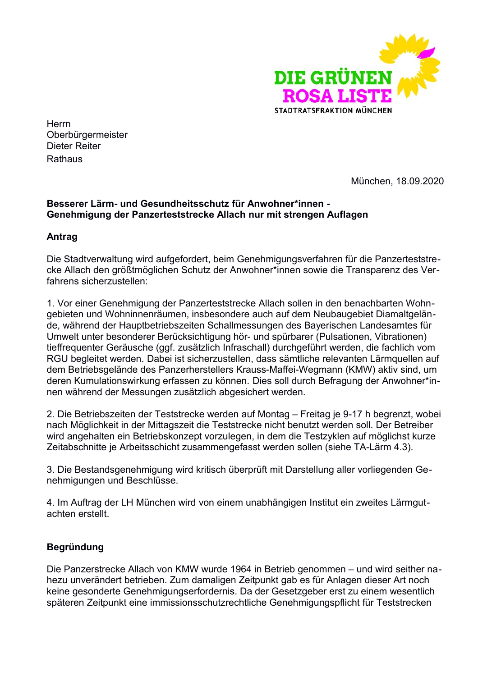

**Herrn** Oberbürgermeister Dieter Reiter Rathaus

München, 18.09.2020

## Besserer Lärm- und Gesundheitsschutz für Anwohner\*innen -Genehmigung der Panzerteststrecke Allach nur mit strengen Auflagen

## Antrag

Die Stadtverwaltung wird aufgefordert, beim Genehmigungsverfahren für die Panzerteststrecke Allach den größtmöglichen Schutz der Anwohner\*innen sowie die Transparenz des Verfahrens sicherzustellen:

1. Vor einer Genehmigung der Panzerteststrecke Allach sollen in den benachbarten Wohngebieten und Wohninnenräumen, insbesondere auch auf dem Neubaugebiet Diamaltgelände, während der Hauptbetriebszeiten Schallmessungen des Bayerischen Landesamtes für Umwelt unter besonderer Berücksichtigung hör- und spürbarer (Pulsationen, Vibrationen) tieffrequenter Geräusche (ggf. zusätzlich Infraschall) durchgeführt werden, die fachlich vom RGU begleitet werden. Dabei ist sicherzustellen, dass sämtliche relevanten Lärmquellen auf dem Betriebsgelände des Panzerherstellers Krauss-Maffei-Wegmann (KMW) aktiv sind, um deren Kumulationswirkung erfassen zu können. Dies soll durch Befragung der Anwohner\*innen während der Messungen zusätzlich abgesichert werden.

2. Die Betriebszeiten der Teststrecke werden auf Montag – Freitag je 9-17 h begrenzt, wobei nach Möglichkeit in der Mittagszeit die Teststrecke nicht benutzt werden soll. Der Betreiber wird angehalten ein Betriebskonzept vorzulegen, in dem die Testzyklen auf möglichst kurze Zeitabschnitte je Arbeitsschicht zusammengefasst werden sollen (siehe TA-Lärm 4.3).

3. Die Bestandsgenehmigung wird kritisch überprüft mit Darstellung aller vorliegenden Genehmigungen und Beschlüsse.

4. Im Auftrag der LH München wird von einem unabhängigen Institut ein zweites Lärmgutachten erstellt.

## **Begründung**

Die Panzerstrecke Allach von KMW wurde 1964 in Betrieb genommen - und wird seither nahezu unverändert betrieben. Zum damaligen Zeitpunkt gab es für Anlagen dieser Art noch keine gesonderte Genehmigungserfordernis. Da der Gesetzgeber erst zu einem wesentlich späteren Zeitpunkt eine immissionsschutzrechtliche Genehmigungspflicht für Teststrecken